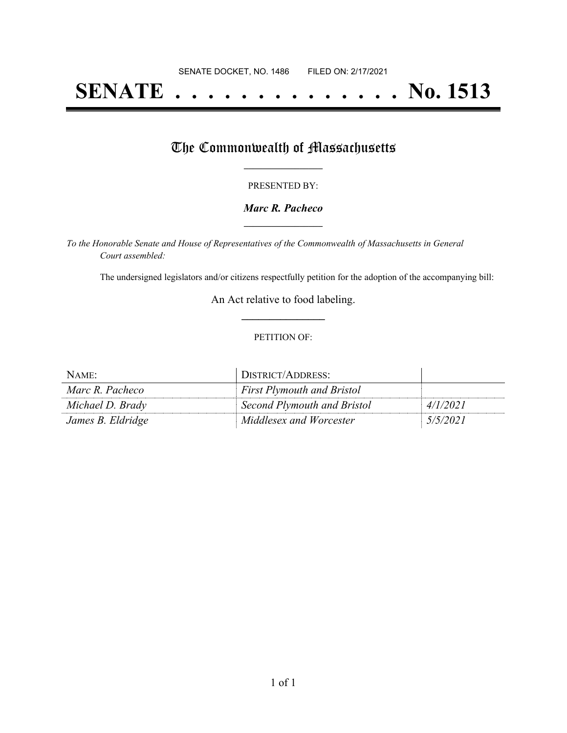# **SENATE . . . . . . . . . . . . . . No. 1513**

### The Commonwealth of Massachusetts

#### PRESENTED BY:

#### *Marc R. Pacheco* **\_\_\_\_\_\_\_\_\_\_\_\_\_\_\_\_\_**

*To the Honorable Senate and House of Representatives of the Commonwealth of Massachusetts in General Court assembled:*

The undersigned legislators and/or citizens respectfully petition for the adoption of the accompanying bill:

An Act relative to food labeling. **\_\_\_\_\_\_\_\_\_\_\_\_\_\_\_**

#### PETITION OF:

| NAME:             | DISTRICT/ADDRESS:                 |          |
|-------------------|-----------------------------------|----------|
| Marc R. Pacheco   | <b>First Plymouth and Bristol</b> |          |
| Michael D. Brady  | Second Plymouth and Bristol       | 4/1/2021 |
| James B. Eldridge | Middlesex and Worcester           | 5/5/2021 |